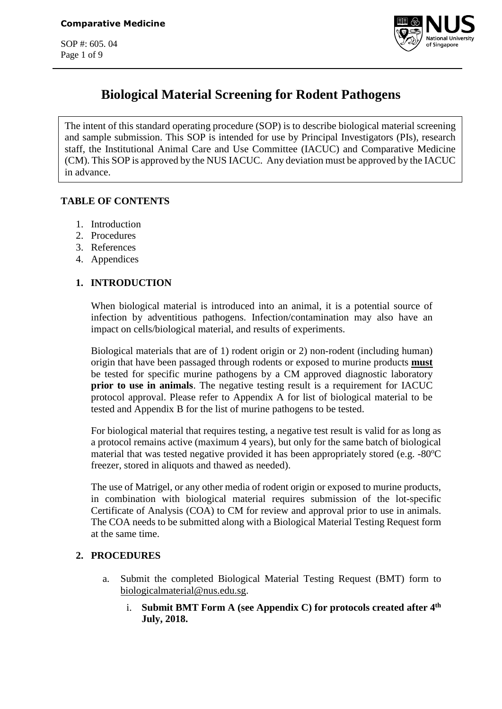SOP #: 605. 04 Page 1 of 9



# **Biological Material Screening for Rodent Pathogens**

The intent of this standard operating procedure (SOP) is to describe biological material screening and sample submission. This SOP is intended for use by Principal Investigators (PIs), research staff, the Institutional Animal Care and Use Committee (IACUC) and Comparative Medicine (CM). This SOP is approved by the NUS IACUC. Any deviation must be approved by the IACUC in advance.

# **TABLE OF CONTENTS**

- 1. Introduction
- 2. Procedures
- 3. References
- 4. Appendices

# **1. INTRODUCTION**

When biological material is introduced into an animal, it is a potential source of infection by adventitious pathogens. Infection/contamination may also have an impact on cells/biological material, and results of experiments.

Biological materials that are of 1) rodent origin or 2) non-rodent (including human) origin that have been passaged through rodents or exposed to murine products **must** be tested for specific murine pathogens by a CM approved diagnostic laboratory **prior to use in animals**. The negative testing result is a requirement for IACUC protocol approval. Please refer to Appendix A for list of biological material to be tested and Appendix B for the list of murine pathogens to be tested.

For biological material that requires testing, a negative test result is valid for as long as a protocol remains active (maximum 4 years), but only for the same batch of biological material that was tested negative provided it has been appropriately stored (e.g.  $-80^{\circ}\text{C}$ freezer, stored in aliquots and thawed as needed).

The use of Matrigel, or any other media of rodent origin or exposed to murine products, in combination with biological material requires submission of the lot-specific Certificate of Analysis (COA) to CM for review and approval prior to use in animals. The COA needs to be submitted along with a Biological Material Testing Request form at the same time.

## **2. PROCEDURES**

- a. Submit the completed Biological Material Testing Request (BMT) form to [biologicalmaterial@nus.edu.sg.](mailto:biologicalmaterial@nus.edu.sg)
	- i. Submit BMT Form A (see Appendix C) for protocols created after  $4^{\text{th}}$ **July, 2018.**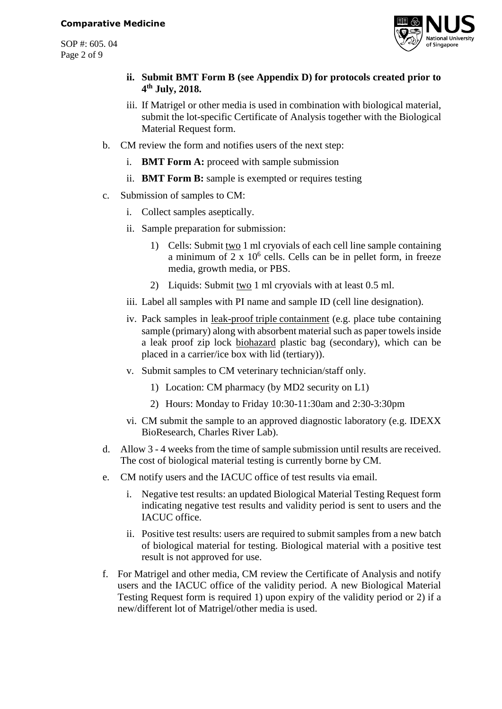SOP #: 605. 04 Page 2 of 9



- **ii. Submit BMT Form B (see Appendix D) for protocols created prior to 4 th July, 2018.**
- iii. If Matrigel or other media is used in combination with biological material, submit the lot-specific Certificate of Analysis together with the Biological Material Request form.
- b. CM review the form and notifies users of the next step:
	- i. **BMT Form A:** proceed with sample submission
	- ii. **BMT Form B:** sample is exempted or requires testing
- c. Submission of samples to CM:
	- i. Collect samples aseptically.
	- ii. Sample preparation for submission:
		- 1) Cells: Submit two 1 ml cryovials of each cell line sample containing a minimum of  $2 \times 10^6$  cells. Cells can be in pellet form, in freeze media, growth media, or PBS.
		- 2) Liquids: Submit two 1 ml cryovials with at least 0.5 ml.
	- iii. Label all samples with PI name and sample ID (cell line designation).
	- iv. Pack samples in leak-proof triple containment (e.g. place tube containing sample (primary) along with absorbent material such as paper towels inside a leak proof zip lock biohazard plastic bag (secondary), which can be placed in a carrier/ice box with lid (tertiary)).
	- v. Submit samples to CM veterinary technician/staff only.
		- 1) Location: CM pharmacy (by MD2 security on L1)
		- 2) Hours: Monday to Friday 10:30-11:30am and 2:30-3:30pm
	- vi. CM submit the sample to an approved diagnostic laboratory (e.g. IDEXX BioResearch, Charles River Lab).
- d. Allow 3 4 weeks from the time of sample submission until results are received. The cost of biological material testing is currently borne by CM.
- e. CM notify users and the IACUC office of test results via email.
	- i. Negative test results: an updated Biological Material Testing Request form indicating negative test results and validity period is sent to users and the IACUC office.
	- ii. Positive test results: users are required to submit samples from a new batch of biological material for testing. Biological material with a positive test result is not approved for use.
- f. For Matrigel and other media, CM review the Certificate of Analysis and notify users and the IACUC office of the validity period. A new Biological Material Testing Request form is required 1) upon expiry of the validity period or 2) if a new/different lot of Matrigel/other media is used.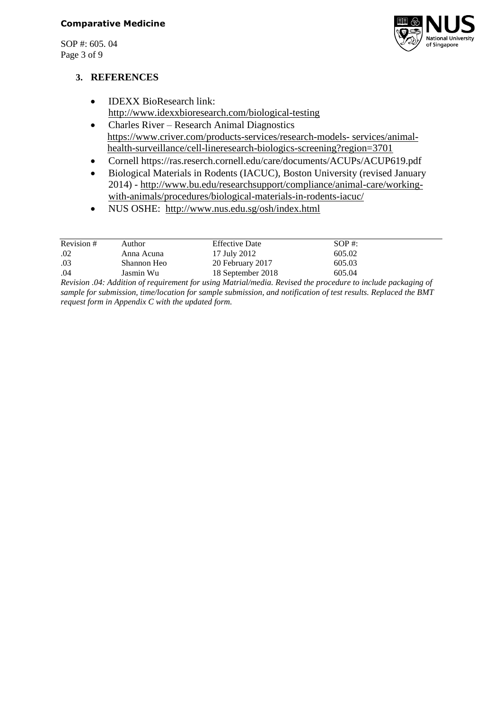SOP #: 605. 04 Page 3 of 9



### **3. REFERENCES**

- **IDEXX BioResearch link:** <http://www.idexxbioresearch.com/biological-testing>
- Charles River Research Animal Diagnostics [https://www.criver.com/products-services/research-models-](https://www.criver.com/products-services/research-models-%20services/animal-%20%20%20%20%20%20%20%20%20%20health-surveillance/cell-lineresearch-biologics-screening?region=3701) services/animal[health-surveillance/cell-lineresearch-biologics-screening?region=3701](https://www.criver.com/products-services/research-models-%20services/animal-%20%20%20%20%20%20%20%20%20%20health-surveillance/cell-lineresearch-biologics-screening?region=3701)
- Cornell https://ras.reserch.cornell.edu/care/documents/ACUPs/ACUP619.pdf
- Biological Materials in Rodents (IACUC), Boston University (revised January 2014) - [http://www.bu.edu/researchsupport/compliance/animal-care/working](http://www.bu.edu/researchsupport/compliance/animal-care/working-with-animals/procedures/biological-materials-in-rodents-iacuc/)[with-animals/procedures/biological-materials-in-rodents-iacuc/](http://www.bu.edu/researchsupport/compliance/animal-care/working-with-animals/procedures/biological-materials-in-rodents-iacuc/)
- NUS OSHE: <http://www.nus.edu.sg/osh/index.html>

| Revision # | Author                                                                                              | <b>Effective Date</b>               | $SOP \#$ :  |
|------------|-----------------------------------------------------------------------------------------------------|-------------------------------------|-------------|
| .02        | Anna Acuna                                                                                          | 17 July 2012                        | 605.02      |
| .03        | Shannon Heo                                                                                         | 20 February 2017                    | 605.03      |
| .04        | Jasmin Wu                                                                                           | 18 September 2018                   | 605.04      |
|            | $\bigcap$ $\bigcap$ $\bigcap$ $\bigcap$ $\bigcap$ $\bigcap$ $\bigcap$ $\bigcap$ $\bigcap$ $\bigcap$ | $\cdots$ $\cdots$ $\cdots$ $\cdots$ | , , , , , , |

*Revision .04: Addition of requirement for using Matrial/media. Revised the procedure to include packaging of sample for submission, time/location for sample submission, and notification of test results. Replaced the BMT request form in Appendix C with the updated form.*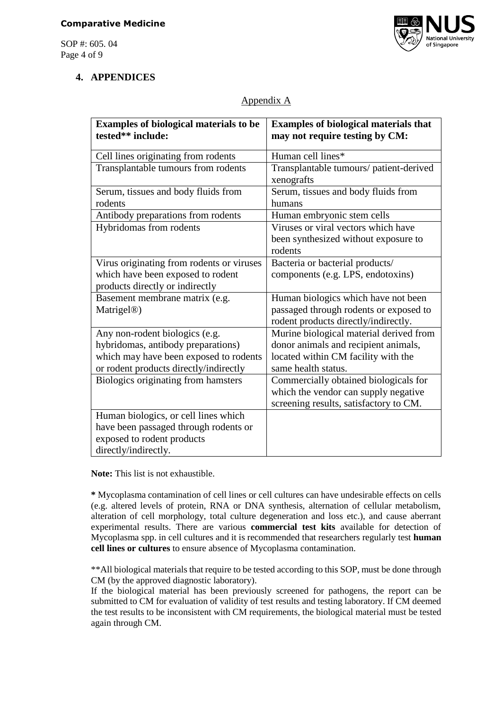SOP #: 605. 04 Page 4 of 9



# **4. APPENDICES**

# Appendix A

| <b>Examples of biological materials to be</b><br>tested** include:                                                                                       | <b>Examples of biological materials that</b><br>may not require testing by CM:                                                                |
|----------------------------------------------------------------------------------------------------------------------------------------------------------|-----------------------------------------------------------------------------------------------------------------------------------------------|
| Cell lines originating from rodents                                                                                                                      | Human cell lines*                                                                                                                             |
| Transplantable tumours from rodents                                                                                                                      | Transplantable tumours/ patient-derived<br>xenografts                                                                                         |
| Serum, tissues and body fluids from<br>rodents                                                                                                           | Serum, tissues and body fluids from<br>humans                                                                                                 |
| Antibody preparations from rodents                                                                                                                       | Human embryonic stem cells                                                                                                                    |
| Hybridomas from rodents                                                                                                                                  | Viruses or viral vectors which have<br>been synthesized without exposure to<br>rodents                                                        |
| Virus originating from rodents or viruses<br>which have been exposed to rodent<br>products directly or indirectly                                        | Bacteria or bacterial products/<br>components (e.g. LPS, endotoxins)                                                                          |
| Basement membrane matrix (e.g.<br>Matrigel <sup>®</sup> )                                                                                                | Human biologics which have not been<br>passaged through rodents or exposed to<br>rodent products directly/indirectly.                         |
| Any non-rodent biologics (e.g.<br>hybridomas, antibody preparations)<br>which may have been exposed to rodents<br>or rodent products directly/indirectly | Murine biological material derived from<br>donor animals and recipient animals,<br>located within CM facility with the<br>same health status. |
| <b>Biologics originating from hamsters</b>                                                                                                               | Commercially obtained biologicals for<br>which the vendor can supply negative<br>screening results, satisfactory to CM.                       |
| Human biologics, or cell lines which<br>have been passaged through rodents or<br>exposed to rodent products<br>directly/indirectly.                      |                                                                                                                                               |

**Note:** This list is not exhaustible.

**\*** Mycoplasma contamination of cell lines or cell cultures can have undesirable effects on cells (e.g. altered levels of protein, RNA or DNA synthesis, alternation of cellular metabolism, alteration of cell morphology, total culture degeneration and loss etc.), and cause aberrant experimental results. There are various **commercial test kits** available for detection of Mycoplasma spp. in cell cultures and it is recommended that researchers regularly test **human cell lines or cultures** to ensure absence of Mycoplasma contamination.

\*\*All biological materials that require to be tested according to this SOP, must be done through CM (by the approved diagnostic laboratory).

If the biological material has been previously screened for pathogens, the report can be submitted to CM for evaluation of validity of test results and testing laboratory. If CM deemed the test results to be inconsistent with CM requirements, the biological material must be tested again through CM.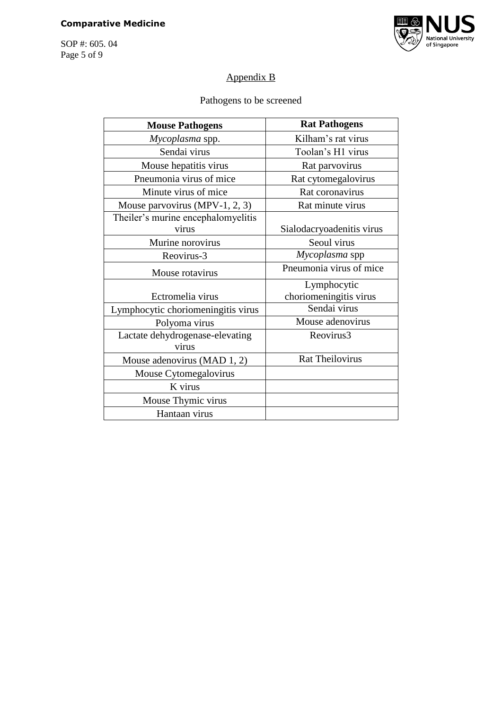# **Comparative Medicine**

SOP #: 605. 04 Page 5 of 9



# Appendix B

# Pathogens to be screened

| <b>Mouse Pathogens</b>             | <b>Rat Pathogens</b>      |
|------------------------------------|---------------------------|
| Mycoplasma spp.                    | Kilham's rat virus        |
| Sendai virus                       | Toolan's H1 virus         |
| Mouse hepatitis virus              | Rat parvovirus            |
| Pneumonia virus of mice            | Rat cytomegalovirus       |
| Minute virus of mice               | Rat coronavirus           |
| Mouse parvovirus (MPV-1, 2, 3)     | Rat minute virus          |
| Theiler's murine encephalomyelitis |                           |
| virus                              | Sialodacryoadenitis virus |
| Murine norovirus                   | Seoul virus               |
| Reovirus-3                         | Mycoplasma spp            |
| Mouse rotavirus                    | Pneumonia virus of mice   |
|                                    | Lymphocytic               |
| Ectromelia virus                   | choriomeningitis virus    |
| Lymphocytic choriomeningitis virus | Sendai virus              |
| Polyoma virus                      | Mouse adenovirus          |
| Lactate dehydrogenase-elevating    | Reovirus3                 |
| virus                              |                           |
| Mouse adenovirus (MAD 1, 2)        | <b>Rat Theilovirus</b>    |
| Mouse Cytomegalovirus              |                           |
| K virus                            |                           |
| Mouse Thymic virus                 |                           |
| Hantaan virus                      |                           |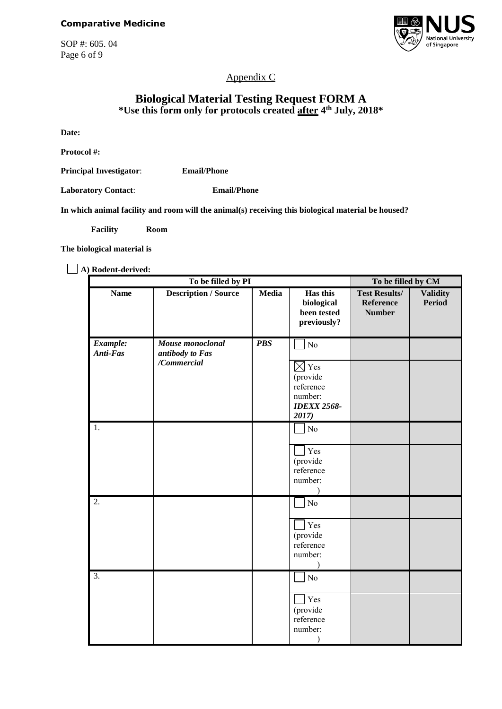SOP #: 605. 04 Page 6 of 9



Appendix C

## **Biological Material Testing Request FORM A \*Use this form only for protocols created after 4 th July, 2018\***

**Date:**

**Protocol #:**

**Principal Investigator**: **Email/Phone**

**Laboratory Contact**: **Email/Phone**

**In which animal facility and room will the animal(s) receiving this biological material be housed?**

**Facility Room** 

**The biological material is** 

**A) Rodent-derived:** 

|                      | To be filled by PI                                 | To be filled by CM |                                                                                          |                                                           |                                  |
|----------------------|----------------------------------------------------|--------------------|------------------------------------------------------------------------------------------|-----------------------------------------------------------|----------------------------------|
| <b>Name</b>          | <b>Description / Source</b>                        | Media              | Has this<br>biological<br>been tested<br>previously?                                     | <b>Test Results/</b><br><b>Reference</b><br><b>Number</b> | <b>Validity</b><br><b>Period</b> |
| Example:<br>Anti-Fas | Mouse monoclonal<br>antibody to Fas<br>/Commercial | <b>PBS</b>         | No<br>$\boxtimes$ Yes<br>(provide<br>reference<br>number:<br><b>IDEXX 2568-</b><br>2017) |                                                           |                                  |
| 1.                   |                                                    |                    | $\rm No$<br>Yes<br>(provide<br>reference<br>number:                                      |                                                           |                                  |
| 2.                   |                                                    |                    | No<br>Yes<br>(provide<br>reference<br>number:                                            |                                                           |                                  |
| $\overline{3}$ .     |                                                    |                    | $\rm No$<br>Yes<br>(provide<br>reference<br>number:                                      |                                                           |                                  |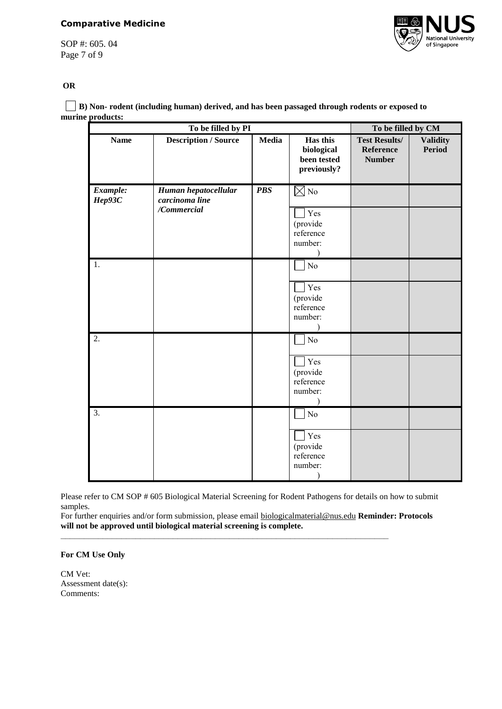#### **Comparative Medicine**

SOP #: 605. 04 Page 7 of 9



#### **OR**

 **B) Non- rodent (including human) derived, and has been passaged through rodents or exposed to murine products:**

| To be filled by PI |                                                       |              |                                                                      | To be filled by CM                                        |                                  |
|--------------------|-------------------------------------------------------|--------------|----------------------------------------------------------------------|-----------------------------------------------------------|----------------------------------|
| <b>Name</b>        | <b>Description / Source</b>                           | <b>Media</b> | Has this<br>biological<br>been tested<br>previously?                 | <b>Test Results/</b><br><b>Reference</b><br><b>Number</b> | <b>Validity</b><br><b>Period</b> |
| Example:<br>Hep93C | Human hepatocellular<br>carcinoma line<br>/Commercial | <b>PBS</b>   | $\overline{\boxtimes}$ No<br>Yes<br>(provide<br>reference<br>number: |                                                           |                                  |
| 1.                 |                                                       |              | No<br>Yes<br>(provide<br>reference<br>number:                        |                                                           |                                  |
| 2.                 |                                                       |              | N <sub>o</sub><br>Yes<br>(provide<br>reference<br>number:            |                                                           |                                  |
| 3.                 |                                                       |              | $\rm No$<br>Yes<br>(provide<br>reference<br>number:                  |                                                           |                                  |

Please refer to CM SOP # 605 Biological Material Screening for Rodent Pathogens for details on how to submit samples.

For further enquiries and/or form submission, please email [biologicalmaterial@nus.edu](mailto:biologicalmaterial@nus.edu) **Reminder: Protocols will not be approved until biological material screening is complete.** 

**\_\_\_\_\_\_\_\_\_\_\_\_\_\_\_\_\_\_\_\_\_\_\_\_\_\_\_\_\_\_\_\_\_\_\_\_\_\_\_\_\_\_\_\_\_\_\_\_\_\_\_\_\_\_\_\_\_\_\_\_\_\_\_\_\_\_\_\_\_\_**

#### **For CM Use Only**

CM Vet: Assessment date(s): Comments: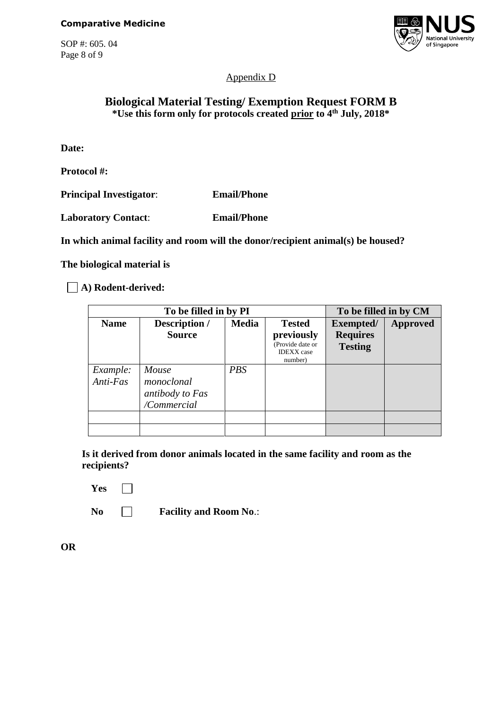SOP #: 605. 04 Page 8 of 9



Appendix D

# **Biological Material Testing/ Exemption Request FORM B \*Use this form only for protocols created prior to 4th July, 2018\***

**Date:**

**Protocol #:**

**Principal Investigator**: **Email/Phone**

**Laboratory Contact**: **Email/Phone**

**In which animal facility and room will the donor/recipient animal(s) be housed?**

**The biological material is** 

**A) Rodent-derived:** 

|             | To be filled in by PI | To be filled in by CM |                                                  |                 |                 |
|-------------|-----------------------|-----------------------|--------------------------------------------------|-----------------|-----------------|
| <b>Name</b> | Description /         | <b>Media</b>          | <b>Tested</b>                                    | Exempted/       | <b>Approved</b> |
|             | <b>Source</b>         |                       | previously                                       | <b>Requires</b> |                 |
|             |                       |                       | (Provide date or<br><b>IDEXX</b> case<br>number) | <b>Testing</b>  |                 |
| Example:    | Mouse                 | <b>PBS</b>            |                                                  |                 |                 |
| Anti-Fas    | monoclonal            |                       |                                                  |                 |                 |
|             | antibody to Fas       |                       |                                                  |                 |                 |
|             | /Commercial           |                       |                                                  |                 |                 |
|             |                       |                       |                                                  |                 |                 |
|             |                       |                       |                                                  |                 |                 |

**Is it derived from donor animals located in the same facility and room as the recipients?**

Yes  $\Box$ 

**No Facility and Room No**.:

**OR**